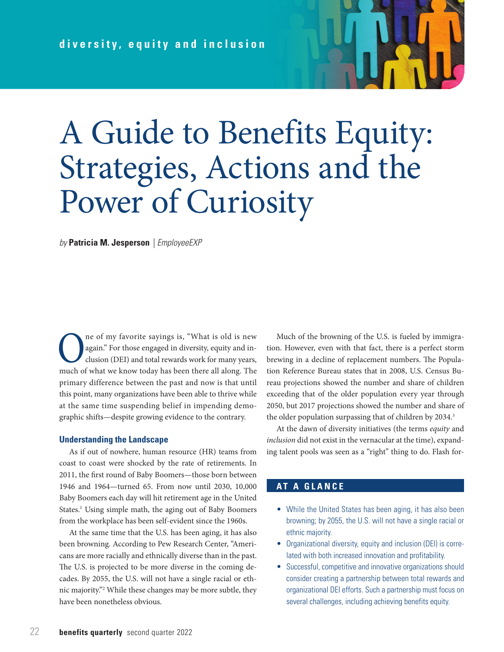# A Guide to Benefits Equity: Strategies, Actions and the Power of Curiosity

*by* **Patricia M. Jesperson** *| EmployeeEXP*

**O** ne of my favorite sayings is, "What is old is new<br>again." For those engaged in diversity, equity and in-<br>clusion (DEI) and total rewards work for many years,<br>much of what we know today has been there all along. The again." For those engaged in diversity, equity and inclusion (DEI) and total rewards work for many years, much of what we know today has been there all along. The primary difference between the past and now is that until this point, many organizations have been able to thrive while at the same time suspending belief in impending demographic shifts—despite growing evidence to the contrary.

### **Understanding the Landscape**

As if out of nowhere, human resource (HR) teams from coast to coast were shocked by the rate of retirements. In 2011, the first round of Baby Boomers—those born between 1946 and 1964—turned 65. From now until 2030, 10,000 Baby Boomers each day will hit retirement age in the United States.<sup>1</sup> Using simple math, the aging out of Baby Boomers from the workplace has been self-evident since the 1960s.

At the same time that the U.S. has been aging, it has also been browning. According to Pew Research Center, "Americans are more racially and ethnically diverse than in the past. The U.S. is projected to be more diverse in the coming decades. By 2055, the U.S. will not have a single racial or ethnic majority."2 While these changes may be more subtle, they have been nonetheless obvious.

Much of the browning of the U.S. is fueled by immigration. However, even with that fact, there is a perfect storm brewing in a decline of replacement numbers. The Population Reference Bureau states that in 2008, U.S. Census Bureau projections showed the number and share of children exceeding that of the older population every year through 2050, but 2017 projections showed the number and share of the older population surpassing that of children by 2034.<sup>3</sup>

At the dawn of diversity initiatives (the terms *equity* and *inclusion* did not exist in the vernacular at the time), expanding talent pools was seen as a "right" thing to do. Flash for-

# **AT A GLANCE**

- While the United States has been aging, it has also been browning; by 2055, the U.S. will not have a single racial or ethnic majority.
- Organizational diversity, equity and inclusion (DEI) is correlated with both increased innovation and profitability.
- Successful, competitive and innovative organizations should consider creating a partnership between total rewards and organizational DEI efforts. Such a partnership must focus on several challenges, including achieving benefits equity.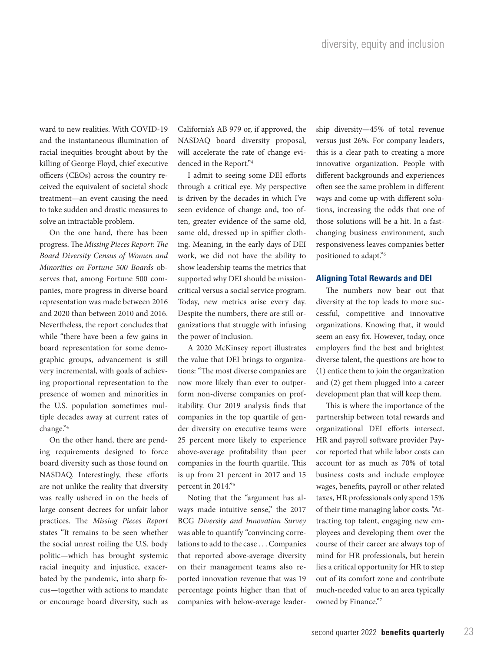ward to new realities. With COVID-19 and the instantaneous illumination of racial inequities brought about by the killing of George Floyd, chief executive officers (CEOs) across the country received the equivalent of societal shock treatment—an event causing the need to take sudden and drastic measures to solve an intractable problem.

On the one hand, there has been progress. The *Missing Pieces Report: The Board Diversity Census of Women and Minorities on Fortune 500 Boards* observes that, among Fortune 500 companies, more progress in diverse board representation was made between 2016 and 2020 than between 2010 and 2016. Nevertheless, the report concludes that while "there have been a few gains in board representation for some demographic groups, advancement is still very incremental, with goals of achieving proportional representation to the presence of women and minorities in the U.S. population sometimes multiple decades away at current rates of change."4

On the other hand, there are pending requirements designed to force board diversity such as those found on NASDAQ. Interestingly, these efforts are not unlike the reality that diversity was really ushered in on the heels of large consent decrees for unfair labor practices. The *Missing Pieces Report*  states "It remains to be seen whether the social unrest roiling the U.S. body politic—which has brought systemic racial inequity and injustice, exacerbated by the pandemic, into sharp focus—together with actions to mandate or encourage board diversity, such as

California's AB 979 or, if approved, the NASDAQ board diversity proposal, will accelerate the rate of change evidenced in the Report."4

I admit to seeing some DEI efforts through a critical eye. My perspective is driven by the decades in which I've seen evidence of change and, too often, greater evidence of the same old, same old, dressed up in spiffier clothing. Meaning, in the early days of DEI work, we did not have the ability to show leadership teams the metrics that supported why DEI should be missioncritical versus a social service program. Today, new metrics arise every day. Despite the numbers, there are still organizations that struggle with infusing the power of inclusion.

A 2020 McKinsey report illustrates the value that DEI brings to organizations: "The most diverse companies are now more likely than ever to outperform non-diverse companies on profitability. Our 2019 analysis finds that companies in the top quartile of gender diversity on executive teams were 25 percent more likely to experience above-average profitability than peer companies in the fourth quartile. This is up from 21 percent in 2017 and 15 percent in 2014."5

Noting that the "argument has always made intuitive sense," the 2017 BCG *Diversity and Innovation Survey*  was able to quantify "convincing correlations to add to the case . . . Companies that reported above-average diversity on their management teams also reported innovation revenue that was 19 percentage points higher than that of companies with below-average leadership diversity—45% of total revenue versus just 26%. For company leaders, this is a clear path to creating a more innovative organization. People with different backgrounds and experiences often see the same problem in different ways and come up with different solutions, increasing the odds that one of those solutions will be a hit. In a fastchanging business environment, such responsiveness leaves companies better positioned to adapt."6

### **Aligning Total Rewards and DEI**

The numbers now bear out that diversity at the top leads to more successful, competitive and innovative organizations. Knowing that, it would seem an easy fix. However, today, once employers find the best and brightest diverse talent, the questions are how to (1) entice them to join the organization and (2) get them plugged into a career development plan that will keep them.

This is where the importance of the partnership between total rewards and organizational DEI efforts intersect. HR and payroll software provider Paycor reported that while labor costs can account for as much as 70% of total business costs and include employee wages, benefits, payroll or other related taxes, HR professionals only spend 15% of their time managing labor costs. "Attracting top talent, engaging new employees and developing them over the course of their career are always top of mind for HR professionals, but herein lies a critical opportunity for HR to step out of its comfort zone and contribute much-needed value to an area typically owned by Finance."7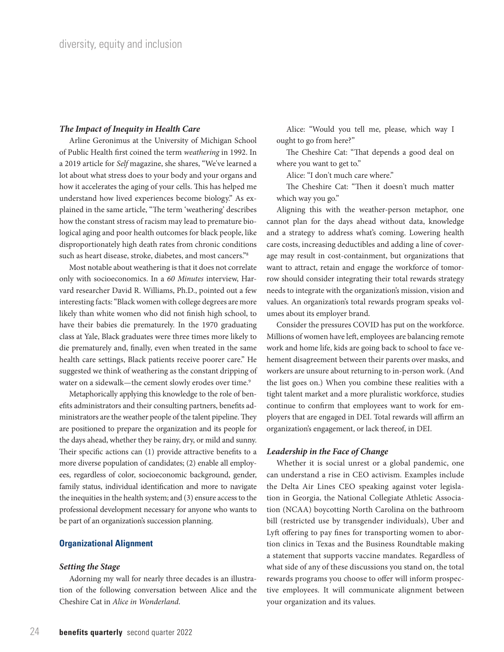#### *The Impact of Inequity in Health Care*

Arline Geronimus at the University of Michigan School of Public Health first coined the term *weathering* in 1992. In a 2019 article for *Self* magazine, she shares, "We've learned a lot about what stress does to your body and your organs and how it accelerates the aging of your cells. This has helped me understand how lived experiences become biology." As explained in the same article, "The term 'weathering' describes how the constant stress of racism may lead to premature biological aging and poor health outcomes for black people, like disproportionately high death rates from chronic conditions such as heart disease, stroke, diabetes, and most cancers."8

Most notable about weathering is that it does not correlate only with socioeconomics. In a *60 Minutes* interview, Harvard researcher David R. Williams, Ph.D., pointed out a few interesting facts: "Black women with college degrees are more likely than white women who did not finish high school, to have their babies die prematurely. In the 1970 graduating class at Yale, Black graduates were three times more likely to die prematurely and, finally, even when treated in the same health care settings, Black patients receive poorer care." He suggested we think of weathering as the constant dripping of water on a sidewalk—the cement slowly erodes over time.<sup>9</sup>

Metaphorically applying this knowledge to the role of benefits administrators and their consulting partners, benefits administrators are the weather people of the talent pipeline. They are positioned to prepare the organization and its people for the days ahead, whether they be rainy, dry, or mild and sunny. Their specific actions can (1) provide attractive benefits to a more diverse population of candidates; (2) enable all employees, regardless of color, socioeconomic background, gender, family status, individual identification and more to navigate the inequities in the health system; and (3) ensure access to the professional development necessary for anyone who wants to be part of an organization's succession planning.

# **Organizational Alignment**

#### *Setting the Stage*

Adorning my wall for nearly three decades is an illustration of the following conversation between Alice and the Cheshire Cat in *Alice in Wonderland*.

Alice: "Would you tell me, please, which way I ought to go from here?"

The Cheshire Cat: "That depends a good deal on where you want to get to."

Alice: "I don't much care where."

The Cheshire Cat: "Then it doesn't much matter which way you go."

Aligning this with the weather-person metaphor, one cannot plan for the days ahead without data, knowledge and a strategy to address what's coming. Lowering health care costs, increasing deductibles and adding a line of coverage may result in cost-containment, but organizations that want to attract, retain and engage the workforce of tomorrow should consider integrating their total rewards strategy needs to integrate with the organization's mission, vision and values. An organization's total rewards program speaks volumes about its employer brand.

Consider the pressures COVID has put on the workforce. Millions of women have left, employees are balancing remote work and home life, kids are going back to school to face vehement disagreement between their parents over masks, and workers are unsure about returning to in-person work. (And the list goes on.) When you combine these realities with a tight talent market and a more pluralistic workforce, studies continue to confirm that employees want to work for employers that are engaged in DEI. Total rewards will affirm an organization's engagement, or lack thereof, in DEI.

#### *Leadership in the Face of Change*

Whether it is social unrest or a global pandemic, one can understand a rise in CEO activism. Examples include the Delta Air Lines CEO speaking against voter legislation in Georgia, the National Collegiate Athletic Association (NCAA) boycotting North Carolina on the bathroom bill (restricted use by transgender individuals), Uber and Lyft offering to pay fines for transporting women to abortion clinics in Texas and the Business Roundtable making a statement that supports vaccine mandates. Regardless of what side of any of these discussions you stand on, the total rewards programs you choose to offer will inform prospective employees. It will communicate alignment between your organization and its values.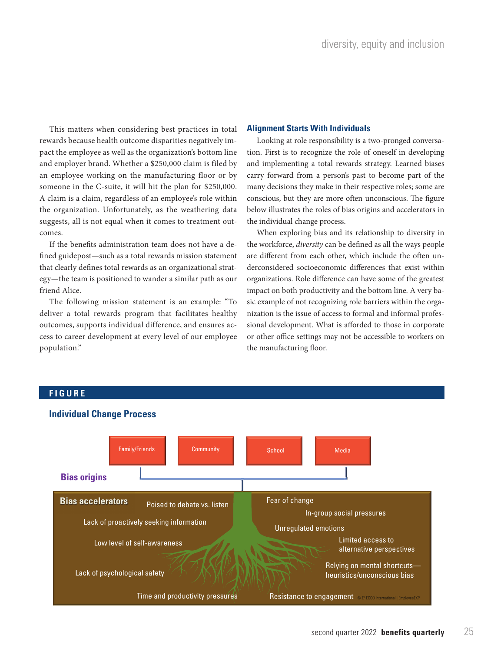This matters when considering best practices in total rewards because health outcome disparities negatively impact the employee as well as the organization's bottom line and employer brand. Whether a \$250,000 claim is filed by an employee working on the manufacturing floor or by someone in the C-suite, it will hit the plan for \$250,000. A claim is a claim, regardless of an employee's role within the organization. Unfortunately, as the weathering data suggests, all is not equal when it comes to treatment outcomes.

If the benefits administration team does not have a defined guidepost—such as a total rewards mission statement that clearly defines total rewards as an organizational strategy—the team is positioned to wander a similar path as our friend Alice.

The following mission statement is an example: "To deliver a total rewards program that facilitates healthy outcomes, supports individual difference, and ensures access to career development at every level of our employee population."

# **Alignment Starts With Individuals**

Looking at role responsibility is a two-pronged conversation. First is to recognize the role of oneself in developing and implementing a total rewards strategy. Learned biases carry forward from a person's past to become part of the many decisions they make in their respective roles; some are conscious, but they are more often unconscious. The figure below illustrates the roles of bias origins and accelerators in the individual change process.

When exploring bias and its relationship to diversity in the workforce, *diversity* can be defined as all the ways people are different from each other, which include the often underconsidered socioeconomic differences that exist within organizations. Role difference can have some of the greatest impact on both productivity and the bottom line. A very basic example of not recognizing role barriers within the organization is the issue of access to formal and informal professional development. What is afforded to those in corporate or other office settings may not be accessible to workers on the manufacturing floor.

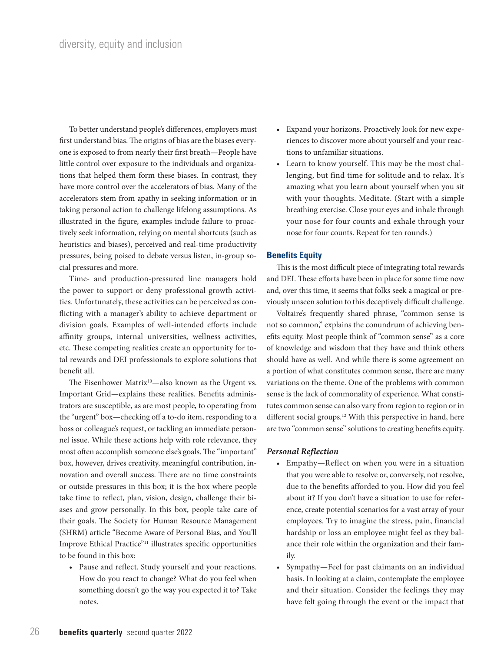To better understand people's differences, employers must first understand bias. The origins of bias are the biases everyone is exposed to from nearly their first breath—People have little control over exposure to the individuals and organizations that helped them form these biases. In contrast, they have more control over the accelerators of bias. Many of the accelerators stem from apathy in seeking information or in taking personal action to challenge lifelong assumptions. As illustrated in the figure, examples include failure to proactively seek information, relying on mental shortcuts (such as heuristics and biases), perceived and real-time productivity pressures, being poised to debate versus listen, in-group social pressures and more.

Time- and production-pressured line managers hold the power to support or deny professional growth activities. Unfortunately, these activities can be perceived as conflicting with a manager's ability to achieve department or division goals. Examples of well-intended efforts include affinity groups, internal universities, wellness activities, etc. These competing realities create an opportunity for total rewards and DEI professionals to explore solutions that benefit all.

The Eisenhower Matrix<sup>10</sup>—also known as the Urgent vs. Important Grid—explains these realities. Benefits administrators are susceptible, as are most people, to operating from the "urgent" box—checking off a to-do item, responding to a boss or colleague's request, or tackling an immediate personnel issue. While these actions help with role relevance, they most often accomplish someone else's goals. The "important" box, however, drives creativity, meaningful contribution, innovation and overall success. There are no time constraints or outside pressures in this box; it is the box where people take time to reflect, plan, vision, design, challenge their biases and grow personally. In this box, people take care of their goals. The Society for Human Resource Management (SHRM) article "Become Aware of Personal Bias, and You'll Improve Ethical Practice"11 illustrates specific opportunities to be found in this box:

• Pause and reflect. Study yourself and your reactions. How do you react to change? What do you feel when something doesn't go the way you expected it to? Take notes.

- Expand your horizons. Proactively look for new experiences to discover more about yourself and your reactions to unfamiliar situations.
- Learn to know yourself. This may be the most challenging, but find time for solitude and to relax. It's amazing what you learn about yourself when you sit with your thoughts. Meditate. (Start with a simple breathing exercise. Close your eyes and inhale through your nose for four counts and exhale through your nose for four counts. Repeat for ten rounds.)

# **Benefits Equity**

This is the most difficult piece of integrating total rewards and DEI. These efforts have been in place for some time now and, over this time, it seems that folks seek a magical or previously unseen solution to this deceptively difficult challenge.

Voltaire's frequently shared phrase, "common sense is not so common," explains the conundrum of achieving benefits equity. Most people think of "common sense" as a core of knowledge and wisdom that they have and think others should have as well. And while there is some agreement on a portion of what constitutes common sense, there are many variations on the theme. One of the problems with common sense is the lack of commonality of experience. What constitutes common sense can also vary from region to region or in different social groups.<sup>12</sup> With this perspective in hand, here are two "common sense" solutions to creating benefits equity.

#### *Personal Reflection*

- Empathy—Reflect on when you were in a situation that you were able to resolve or, conversely, not resolve, due to the benefits afforded to you. How did you feel about it? If you don't have a situation to use for reference, create potential scenarios for a vast array of your employees. Try to imagine the stress, pain, financial hardship or loss an employee might feel as they balance their role within the organization and their family.
- Sympathy—Feel for past claimants on an individual basis. In looking at a claim, contemplate the employee and their situation. Consider the feelings they may have felt going through the event or the impact that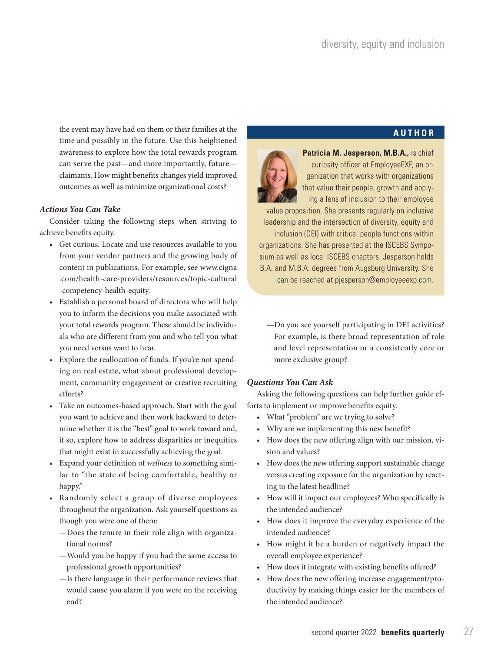**AUTHOR**

the event may have had on them or their families at the time and possibly in the future. Use this heightened awareness to explore how the total rewards program can serve the past—and more importantly, future claimants. How might benefits changes yield improved outcomes as well as minimize organizational costs?

# *Actions You Can Take*

Consider taking the following steps when striving to achieve benefits equity.

- Get curious. Locate and use resources available to you from your vendor partners and the growing body of content in publications. For example, see www.cigna .com/health-care-providers/resources/topic-cultural -competency-health-equity.
- Establish a personal board of directors who will help you to inform the decisions you make associated with your total rewards program. These should be individuals who are different from you and who tell you what you need versus want to hear.
- Explore the reallocation of funds. If you're not spending on real estate, what about professional development, community engagement or creative recruiting efforts?
- Take an outcomes-based approach. Start with the goal you want to achieve and then work backward to determine whether it is the "best" goal to work toward and, if so, explore how to address disparities or inequities that might exist in successfully achieving the goal.
- Expand your definition of *wellness* to something similar to "the state of being comfortable, healthy or happy."
- Randomly select a group of diverse employees throughout the organization. Ask yourself questions as though you were one of them:
	- —Does the tenure in their role align with organizational norms?
	- —Would you be happy if you had the same access to professional growth opportunities?
	- —Is there language in their performance reviews that would cause you alarm if you were on the receiving end?

**Patricia M. Jesperson, M.B.A.,** is chief curiosity officer at EmployeeEXP, an organization that works with organizations that value their people, growth and applying a lens of inclusion to their employee

value proposition. She presents regularly on inclusive leadership and the intersection of diversity, equity and inclusion (DEI) with critical people functions within organizations. She has presented at the ISCEBS Symposium as well as local ISCEBS chapters. Jesperson holds B.A. and M.B.A. degrees from Augsburg University. She can be reached at pjesperson@employeeexp.com.

—Do you see yourself participating in DEI activities? For example, is there broad representation of role and level representation or a consistently core or more exclusive group?

# *Questions You Can Ask*

Asking the following questions can help further guide efforts to implement or improve benefits equity.

- What "problem" are we trying to solve?
- Why are we implementing this new benefit?
- How does the new offering align with our mission, vision and values?
- How does the new offering support sustainable change versus creating exposure for the organization by reacting to the latest headline?
- How will it impact our employees? Who specifically is the intended audience?
- How does it improve the everyday experience of the intended audience?
- How might it be a burden or negatively impact the overall employee experience?
- How does it integrate with existing benefits offered?
- How does the new offering increase engagement/productivity by making things easier for the members of the intended audience?